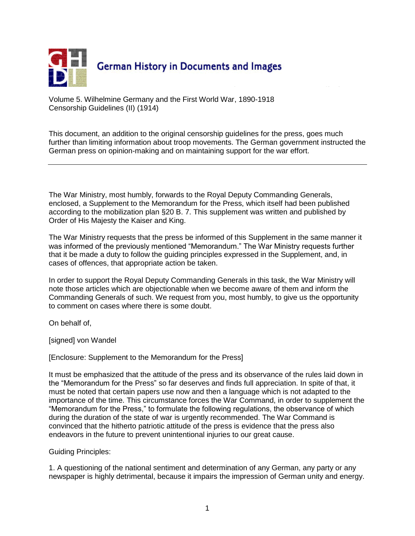

Volume 5. Wilhelmine Germany and the First World War, 1890-1918 Censorship Guidelines (II) (1914)

This document, an addition to the original censorship guidelines for the press, goes much further than limiting information about troop movements. The German government instructed the German press on opinion-making and on maintaining support for the war effort.

The War Ministry, most humbly, forwards to the Royal Deputy Commanding Generals, enclosed, a Supplement to the Memorandum for the Press, which itself had been published according to the mobilization plan §20 B. 7. This supplement was written and published by Order of His Majesty the Kaiser and King.

The War Ministry requests that the press be informed of this Supplement in the same manner it was informed of the previously mentioned "Memorandum." The War Ministry requests further that it be made a duty to follow the guiding principles expressed in the Supplement, and, in cases of offences, that appropriate action be taken.

In order to support the Royal Deputy Commanding Generals in this task, the War Ministry will note those articles which are objectionable when we become aware of them and inform the Commanding Generals of such. We request from you, most humbly, to give us the opportunity to comment on cases where there is some doubt.

On behalf of,

[signed] von Wandel

[Enclosure: Supplement to the Memorandum for the Press]

It must be emphasized that the attitude of the press and its observance of the rules laid down in the "Memorandum for the Press" so far deserves and finds full appreciation. In spite of that, it must be noted that certain papers use now and then a language which is not adapted to the importance of the time. This circumstance forces the War Command, in order to supplement the "Memorandum for the Press," to formulate the following regulations, the observance of which during the duration of the state of war is urgently recommended. The War Command is convinced that the hitherto patriotic attitude of the press is evidence that the press also endeavors in the future to prevent unintentional injuries to our great cause.

Guiding Principles:

1. A questioning of the national sentiment and determination of any German, any party or any newspaper is highly detrimental, because it impairs the impression of German unity and energy.